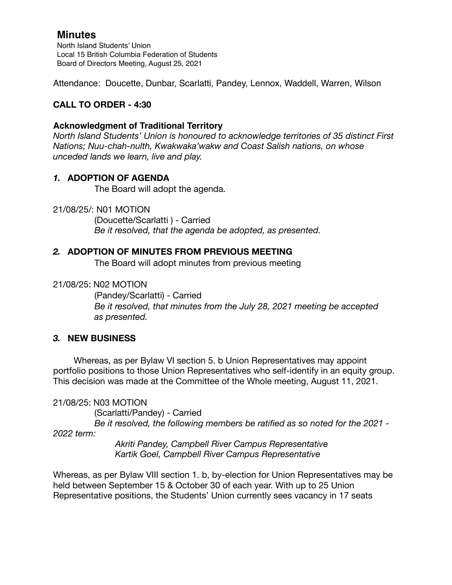North Island Students' Union Local 15 British Columbia Federation of Students Board of Directors Meeting, August 25, 2021

Attendance: Doucette, Dunbar, Scarlatti, Pandey, Lennox, Waddell, Warren, Wilson

# **CALL TO ORDER - 4:30**

## **Acknowledgment of Traditional Territory**

*North Island Students' Union is honoured to acknowledge territories of 35 distinct First Nations; Nuu-chah-nulth, Kwakwaka'wakw and Coast Salish nations, on whose unceded lands we learn, live and play.*

## *1.* **ADOPTION OF AGENDA**

The Board will adopt the agenda.

21/08/25/: N01 MOTION

 (Doucette/Scarlatti ) - Carried *Be it resolved, that the agenda be adopted, as presented.* 

## *2.* **ADOPTION OF MINUTES FROM PREVIOUS MEETING**

The Board will adopt minutes from previous meeting

### 21/08/25: N02 MOTION

(Pandey/Scarlatti) - Carried *Be it resolved, that minutes from the July 28, 2021 meeting be accepted as presented.* 

### *3.* **NEW BUSINESS**

Whereas, as per Bylaw VI section 5. b Union Representatives may appoint portfolio positions to those Union Representatives who self-identify in an equity group. This decision was made at the Committee of the Whole meeting, August 11, 2021.

### 21/08/25: N03 MOTION

 (Scarlatti/Pandey) - Carried *Be it resolved, the following members be ratified as so noted for the 2021 -* 

*2022 term:* 

 *Akriti Pandey, Campbell River Campus Representative Kartik Goel, Campbell River Campus Representative* 

Whereas, as per Bylaw VIII section 1. b, by-election for Union Representatives may be held between September 15 & October 30 of each year. With up to 25 Union Representative positions, the Students' Union currently sees vacancy in 17 seats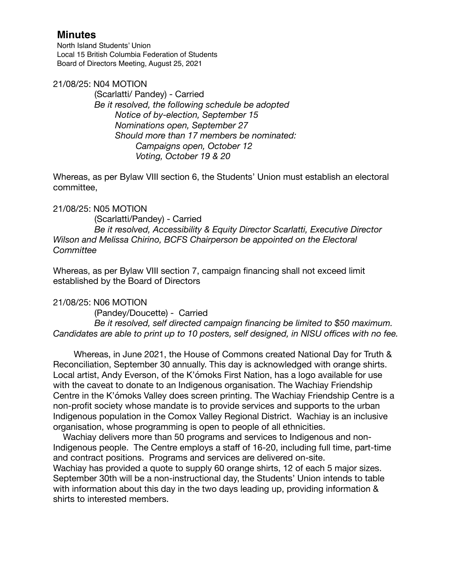North Island Students' Union Local 15 British Columbia Federation of Students Board of Directors Meeting, August 25, 2021

#### 21/08/25: N04 MOTION

 (Scarlatti/ Pandey) - Carried *Be it resolved, the following schedule be adopted Notice of by-election, September 15 Nominations open, September 27 Should more than 17 members be nominated: Campaigns open, October 12 Voting, October 19 & 20* 

Whereas, as per Bylaw VIII section 6, the Students' Union must establish an electoral committee,

### 21/08/25: N05 MOTION

 (Scarlatti/Pandey) - Carried *Be it resolved, Accessibility & Equity Director Scarlatti, Executive Director Wilson and Melissa Chirino, BCFS Chairperson be appointed on the Electoral Committee* 

Whereas, as per Bylaw VIII section 7, campaign financing shall not exceed limit established by the Board of Directors

### 21/08/25: N06 MOTION

 (Pandey/Doucette) - Carried *Be it resolved, self directed campaign financing be limited to \$50 maximum. Candidates are able to print up to 10 posters, self designed, in NISU offices with no fee.* 

Whereas, in June 2021, the House of Commons created National Day for Truth & Reconciliation, September 30 annually. This day is acknowledged with orange shirts. Local artist, Andy Everson, of the K'ómoks First Nation, has a logo available for use with the caveat to donate to an Indigenous organisation. The Wachiay Friendship Centre in the K'ómoks Valley does screen printing. The Wachiay Friendship Centre is a non-profit society whose mandate is to provide services and supports to the urban Indigenous population in the Comox Valley Regional District. Wachiay is an inclusive organisation, whose programming is open to people of all ethnicities.

 Wachiay delivers more than 50 programs and services to Indigenous and non-Indigenous people. The Centre employs a staff of 16-20, including full time, part-time and contract positions. Programs and services are delivered on-site. Wachiay has provided a quote to supply 60 orange shirts, 12 of each 5 major sizes. September 30th will be a non-instructional day, the Students' Union intends to table with information about this day in the two days leading up, providing information & shirts to interested members.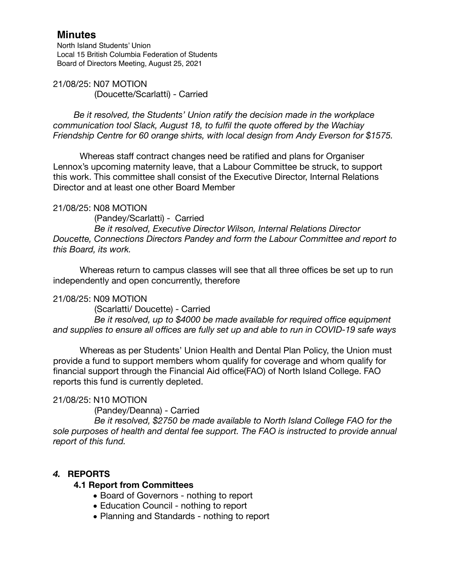North Island Students' Union Local 15 British Columbia Federation of Students Board of Directors Meeting, August 25, 2021

21/08/25: N07 MOTION (Doucette/Scarlatti) - Carried

*Be it resolved, the Students' Union ratify the decision made in the workplace communication tool Slack, August 18, to fulfil the quote offered by the Wachiay Friendship Centre for 60 orange shirts, with local design from Andy Everson for \$1575.* 

Whereas staff contract changes need be ratified and plans for Organiser Lennox's upcoming maternity leave, that a Labour Committee be struck, to support this work. This committee shall consist of the Executive Director, Internal Relations Director and at least one other Board Member

### 21/08/25: N08 MOTION

 (Pandey/Scarlatti) - Carried *Be it resolved, Executive Director Wilson, Internal Relations Director Doucette, Connections Directors Pandey and form the Labour Committee and report to this Board, its work.* 

Whereas return to campus classes will see that all three offices be set up to run independently and open concurrently, therefore

### 21/08/25: N09 MOTION

 (Scarlatti/ Doucette) - Carried

 *Be it resolved, up to \$4000 be made available for required office equipment and supplies to ensure all offices are fully set up and able to run in COVID-19 safe ways* 

Whereas as per Students' Union Health and Dental Plan Policy, the Union must provide a fund to support members whom qualify for coverage and whom qualify for financial support through the Financial Aid office(FAO) of North Island College. FAO reports this fund is currently depleted.

# 21/08/25: N10 MOTION

 (Pandey/Deanna) - Carried

 *Be it resolved, \$2750 be made available to North Island College FAO for the sole purposes of health and dental fee support. The FAO is instructed to provide annual report of this fund.* 

# *4.* **REPORTS**

### **4.1 Report from Committees**

- *•* Board of Governors nothing to report
- *•* Education Council nothing to report
- *•* Planning and Standards nothing to report